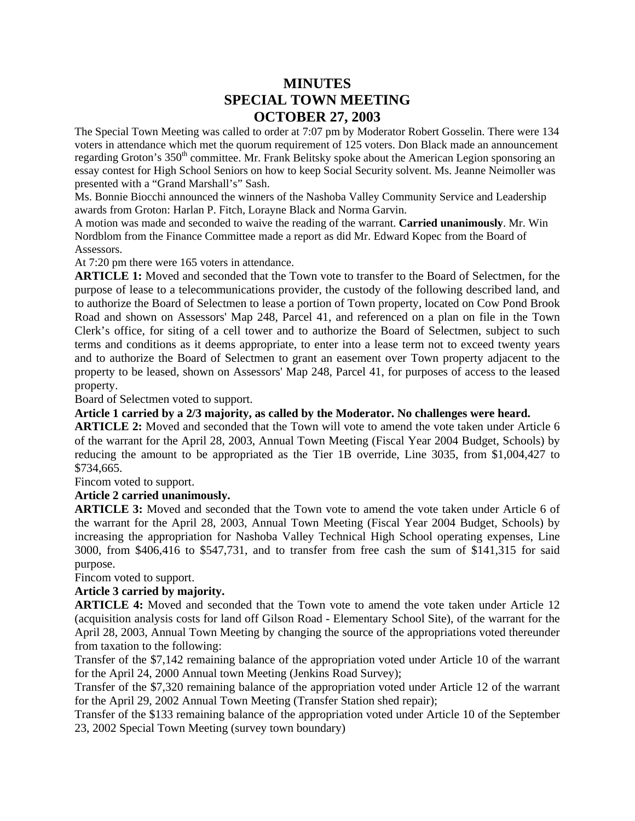# **MINUTES SPECIAL TOWN MEETING OCTOBER 27, 2003**

The Special Town Meeting was called to order at 7:07 pm by Moderator Robert Gosselin. There were 134 voters in attendance which met the quorum requirement of 125 voters. Don Black made an announcement regarding Groton's 350<sup>th</sup> committee. Mr. Frank Belitsky spoke about the American Legion sponsoring an essay contest for High School Seniors on how to keep Social Security solvent. Ms. Jeanne Neimoller was presented with a "Grand Marshall's" Sash.

Ms. Bonnie Biocchi announced the winners of the Nashoba Valley Community Service and Leadership awards from Groton: Harlan P. Fitch, Lorayne Black and Norma Garvin.

A motion was made and seconded to waive the reading of the warrant. **Carried unanimously**. Mr. Win Nordblom from the Finance Committee made a report as did Mr. Edward Kopec from the Board of Assessors.

At 7:20 pm there were 165 voters in attendance.

**ARTICLE 1:** Moved and seconded that the Town vote to transfer to the Board of Selectmen, for the purpose of lease to a telecommunications provider, the custody of the following described land, and to authorize the Board of Selectmen to lease a portion of Town property, located on Cow Pond Brook Road and shown on Assessors' Map 248, Parcel 41, and referenced on a plan on file in the Town Clerk's office, for siting of a cell tower and to authorize the Board of Selectmen, subject to such terms and conditions as it deems appropriate, to enter into a lease term not to exceed twenty years and to authorize the Board of Selectmen to grant an easement over Town property adjacent to the property to be leased, shown on Assessors' Map 248, Parcel 41, for purposes of access to the leased property.

Board of Selectmen voted to support.

**Article 1 carried by a 2/3 majority, as called by the Moderator. No challenges were heard.**

**ARTICLE 2:** Moved and seconded that the Town will vote to amend the vote taken under Article 6 of the warrant for the April 28, 2003, Annual Town Meeting (Fiscal Year 2004 Budget, Schools) by reducing the amount to be appropriated as the Tier 1B override, Line 3035, from \$1,004,427 to \$734,665.

Fincom voted to support.

# **Article 2 carried unanimously.**

**ARTICLE 3:** Moved and seconded that the Town vote to amend the vote taken under Article 6 of the warrant for the April 28, 2003, Annual Town Meeting (Fiscal Year 2004 Budget, Schools) by increasing the appropriation for Nashoba Valley Technical High School operating expenses, Line 3000, from \$406,416 to \$547,731, and to transfer from free cash the sum of \$141,315 for said purpose.

Fincom voted to support.

#### **Article 3 carried by majority.**

**ARTICLE 4:** Moved and seconded that the Town vote to amend the vote taken under Article 12 (acquisition analysis costs for land off Gilson Road - Elementary School Site), of the warrant for the April 28, 2003, Annual Town Meeting by changing the source of the appropriations voted thereunder from taxation to the following:

Transfer of the \$7,142 remaining balance of the appropriation voted under Article 10 of the warrant for the April 24, 2000 Annual town Meeting (Jenkins Road Survey);

Transfer of the \$7,320 remaining balance of the appropriation voted under Article 12 of the warrant for the April 29, 2002 Annual Town Meeting (Transfer Station shed repair);

Transfer of the \$133 remaining balance of the appropriation voted under Article 10 of the September 23, 2002 Special Town Meeting (survey town boundary)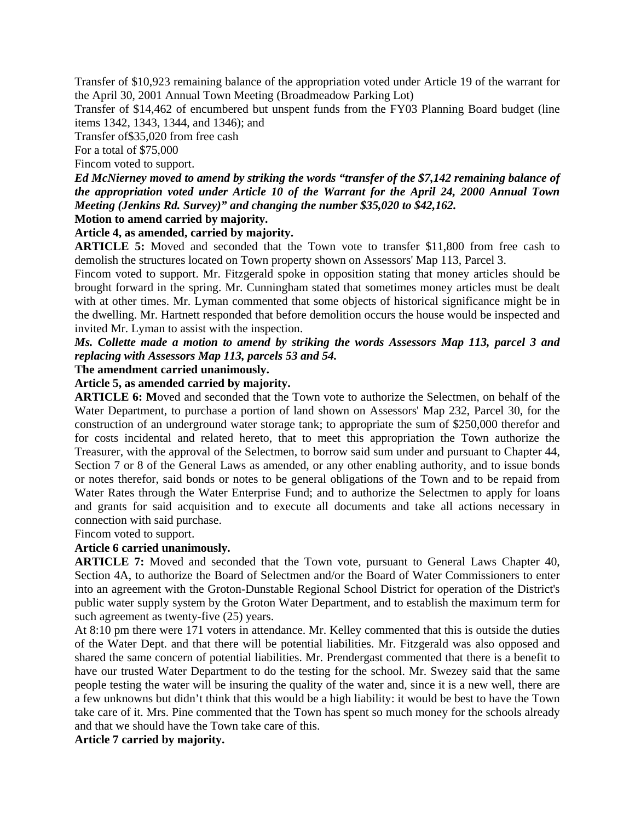Transfer of \$10,923 remaining balance of the appropriation voted under Article 19 of the warrant for the April 30, 2001 Annual Town Meeting (Broadmeadow Parking Lot)

Transfer of \$14,462 of encumbered but unspent funds from the FY03 Planning Board budget (line items 1342, 1343, 1344, and 1346); and

Transfer of\$35,020 from free cash

For a total of \$75,000

Fincom voted to support.

*Ed McNierney moved to amend by striking the words "transfer of the \$7,142 remaining balance of the appropriation voted under Article 10 of the Warrant for the April 24, 2000 Annual Town Meeting (Jenkins Rd. Survey)" and changing the number \$35,020 to \$42,162.*

# **Motion to amend carried by majority.**

**Article 4, as amended, carried by majority.**

**ARTICLE 5:** Moved and seconded that the Town vote to transfer \$11,800 from free cash to demolish the structures located on Town property shown on Assessors' Map 113, Parcel 3.

Fincom voted to support. Mr. Fitzgerald spoke in opposition stating that money articles should be brought forward in the spring. Mr. Cunningham stated that sometimes money articles must be dealt with at other times. Mr. Lyman commented that some objects of historical significance might be in the dwelling. Mr. Hartnett responded that before demolition occurs the house would be inspected and invited Mr. Lyman to assist with the inspection.

# *Ms. Collette made a motion to amend by striking the words Assessors Map 113, parcel 3 and replacing with Assessors Map 113, parcels 53 and 54.*

#### **The amendment carried unanimously.**

#### **Article 5, as amended carried by majority.**

**ARTICLE 6: M**oved and seconded that the Town vote to authorize the Selectmen, on behalf of the Water Department, to purchase a portion of land shown on Assessors' Map 232, Parcel 30, for the construction of an underground water storage tank; to appropriate the sum of \$250,000 therefor and for costs incidental and related hereto, that to meet this appropriation the Town authorize the Treasurer, with the approval of the Selectmen, to borrow said sum under and pursuant to Chapter 44, Section 7 or 8 of the General Laws as amended, or any other enabling authority, and to issue bonds or notes therefor, said bonds or notes to be general obligations of the Town and to be repaid from Water Rates through the Water Enterprise Fund; and to authorize the Selectmen to apply for loans and grants for said acquisition and to execute all documents and take all actions necessary in connection with said purchase.

Fincom voted to support.

#### **Article 6 carried unanimously.**

**ARTICLE 7:** Moved and seconded that the Town vote, pursuant to General Laws Chapter 40, Section 4A, to authorize the Board of Selectmen and/or the Board of Water Commissioners to enter into an agreement with the Groton-Dunstable Regional School District for operation of the District's public water supply system by the Groton Water Department, and to establish the maximum term for such agreement as twenty-five (25) years.

At 8:10 pm there were 171 voters in attendance. Mr. Kelley commented that this is outside the duties of the Water Dept. and that there will be potential liabilities. Mr. Fitzgerald was also opposed and shared the same concern of potential liabilities. Mr. Prendergast commented that there is a benefit to have our trusted Water Department to do the testing for the school. Mr. Swezey said that the same people testing the water will be insuring the quality of the water and, since it is a new well, there are a few unknowns but didn't think that this would be a high liability: it would be best to have the Town take care of it. Mrs. Pine commented that the Town has spent so much money for the schools already and that we should have the Town take care of this.

#### **Article 7 carried by majority.**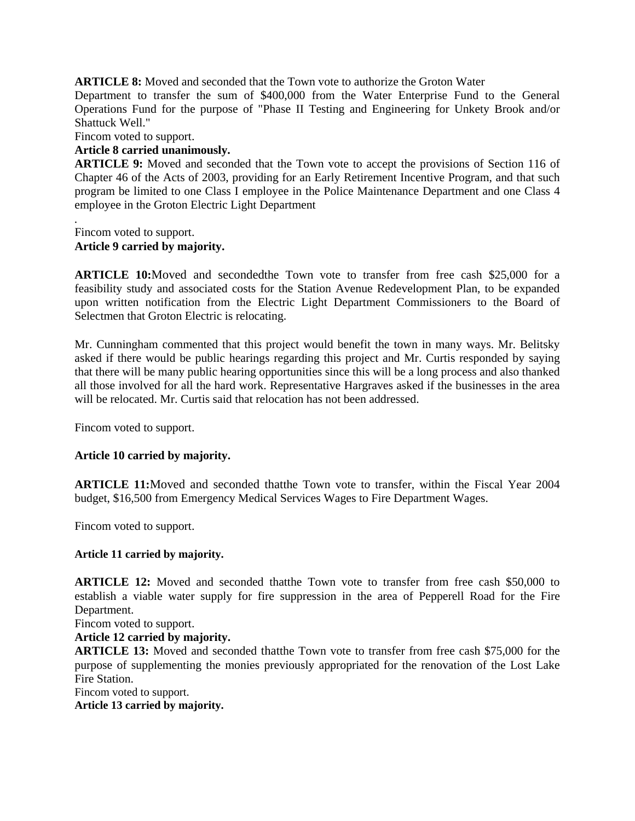**ARTICLE 8:** Moved and seconded that the Town vote to authorize the Groton Water

Department to transfer the sum of \$400,000 from the Water Enterprise Fund to the General Operations Fund for the purpose of "Phase II Testing and Engineering for Unkety Brook and/or Shattuck Well."

Fincom voted to support.

#### **Article 8 carried unanimously.**

**ARTICLE 9:** Moved and seconded that the Town vote to accept the provisions of Section 116 of Chapter 46 of the Acts of 2003, providing for an Early Retirement Incentive Program, and that such program be limited to one Class I employee in the Police Maintenance Department and one Class 4 employee in the Groton Electric Light Department

*.* Fincom voted to support.

#### **Article 9 carried by majority.**

**ARTICLE 10:**Moved and secondedthe Town vote to transfer from free cash \$25,000 for a feasibility study and associated costs for the Station Avenue Redevelopment Plan, to be expanded upon written notification from the Electric Light Department Commissioners to the Board of Selectmen that Groton Electric is relocating.

Mr. Cunningham commented that this project would benefit the town in many ways. Mr. Belitsky asked if there would be public hearings regarding this project and Mr. Curtis responded by saying that there will be many public hearing opportunities since this will be a long process and also thanked all those involved for all the hard work. Representative Hargraves asked if the businesses in the area will be relocated. Mr. Curtis said that relocation has not been addressed.

Fincom voted to support.

# **Article 10 carried by majority.**

**ARTICLE 11:**Moved and seconded thatthe Town vote to transfer, within the Fiscal Year 2004 budget, \$16,500 from Emergency Medical Services Wages to Fire Department Wages.

Fincom voted to support.

#### **Article 11 carried by majority.**

**ARTICLE 12:** Moved and seconded thatthe Town vote to transfer from free cash \$50,000 to establish a viable water supply for fire suppression in the area of Pepperell Road for the Fire Department.

Fincom voted to support.

**Article 12 carried by majority.**

**ARTICLE 13:** Moved and seconded thatthe Town vote to transfer from free cash \$75,000 for the purpose of supplementing the monies previously appropriated for the renovation of the Lost Lake Fire Station.

Fincom voted to support.

**Article 13 carried by majority.**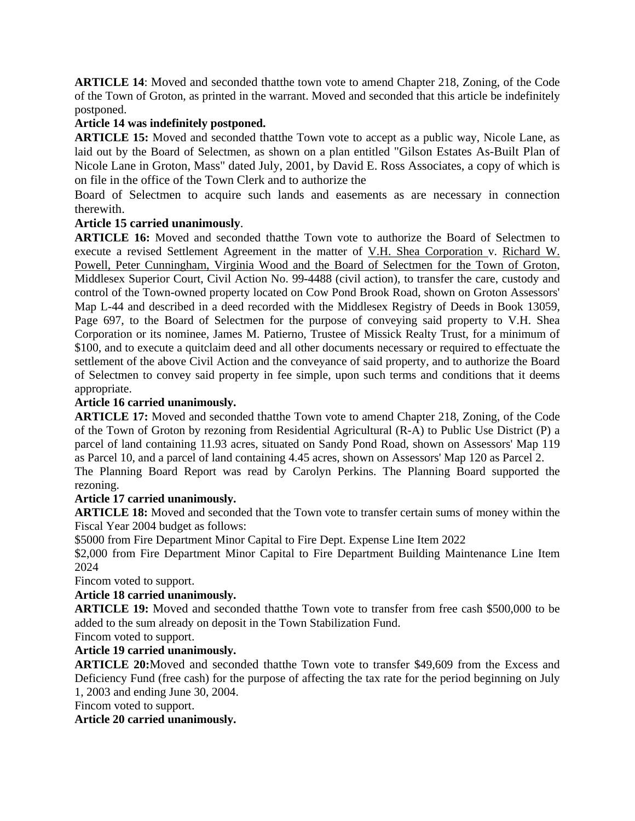**ARTICLE 14**: Moved and seconded thatthe town vote to amend Chapter 218, Zoning, of the Code of the Town of Groton, as printed in the warrant. Moved and seconded that this article be indefinitely postponed.

# **Article 14 was indefinitely postponed.**

**ARTICLE 15:** Moved and seconded thatthe Town vote to accept as a public way, Nicole Lane, as laid out by the Board of Selectmen, as shown on a plan entitled "Gilson Estates As-Built Plan of Nicole Lane in Groton, Mass" dated July, 2001, by David E. Ross Associates, a copy of which is on file in the office of the Town Clerk and to authorize the

Board of Selectmen to acquire such lands and easements as are necessary in connection therewith.

# **Article 15 carried unanimously**.

**ARTICLE 16:** Moved and seconded thatthe Town vote to authorize the Board of Selectmen to execute a revised Settlement Agreement in the matter of V.H. Shea Corporation v. Richard W. Powell, Peter Cunningham, Virginia Wood and the Board of Selectmen for the Town of Groton, Middlesex Superior Court, Civil Action No. 99-4488 (civil action), to transfer the care, custody and control of the Town-owned property located on Cow Pond Brook Road, shown on Groton Assessors' Map L-44 and described in a deed recorded with the Middlesex Registry of Deeds in Book 13059, Page 697, to the Board of Selectmen for the purpose of conveying said property to V.H. Shea Corporation or its nominee, James M. Patierno, Trustee of Missick Realty Trust, for a minimum of \$100, and to execute a quitclaim deed and all other documents necessary or required to effectuate the settlement of the above Civil Action and the conveyance of said property, and to authorize the Board of Selectmen to convey said property in fee simple, upon such terms and conditions that it deems appropriate.

# **Article 16 carried unanimously.**

**ARTICLE 17:** Moved and seconded thatthe Town vote to amend Chapter 218, Zoning, of the Code of the Town of Groton by rezoning from Residential Agricultural (R-A) to Public Use District (P) a parcel of land containing 11.93 acres, situated on Sandy Pond Road, shown on Assessors' Map 119 as Parcel 10, and a parcel of land containing 4.45 acres, shown on Assessors' Map 120 as Parcel 2.

The Planning Board Report was read by Carolyn Perkins. The Planning Board supported the rezoning.

# **Article 17 carried unanimously.**

**ARTICLE 18:** Moved and seconded that the Town vote to transfer certain sums of money within the Fiscal Year 2004 budget as follows:

\$5000 from Fire Department Minor Capital to Fire Dept. Expense Line Item 2022

\$2,000 from Fire Department Minor Capital to Fire Department Building Maintenance Line Item 2024

Fincom voted to support.

# **Article 18 carried unanimously.**

**ARTICLE 19:** Moved and seconded thatthe Town vote to transfer from free cash \$500,000 to be added to the sum already on deposit in the Town Stabilization Fund.

Fincom voted to support.

# **Article 19 carried unanimously.**

**ARTICLE 20:**Moved and seconded thatthe Town vote to transfer \$49,609 from the Excess and Deficiency Fund (free cash) for the purpose of affecting the tax rate for the period beginning on July 1, 2003 and ending June 30, 2004.

Fincom voted to support.

# **Article 20 carried unanimously.**